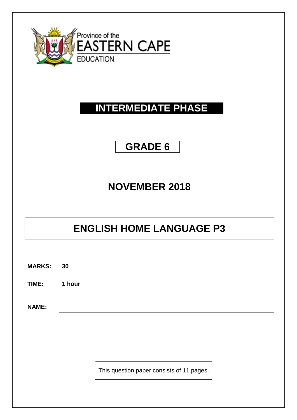

# **INTERMEDIATE PHASE**

## **GRADE 6**

# **NOVEMBER 2018**

# **ENGLISH HOME LANGUAGE P3**

**MARKS: 30**

**TIME: 1 hour**

**NAME:**

This question paper consists of 11 pages.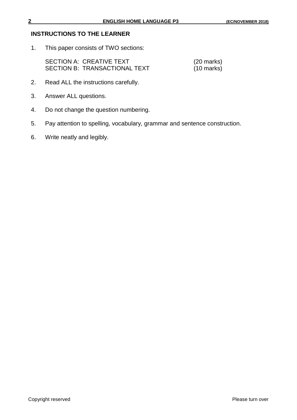#### **INSTRUCTIONS TO THE LEARNER**

1. This paper consists of TWO sections:

| SECTION A: CREATIVE TEXT             | $(20 \text{ marks})$ |
|--------------------------------------|----------------------|
| <b>SECTION B: TRANSACTIONAL TEXT</b> | $(10 \text{ marks})$ |

- 2. Read ALL the instructions carefully.
- 3. Answer ALL questions.
- 4. Do not change the question numbering.
- 5. Pay attention to spelling, vocabulary, grammar and sentence construction.
- 6. Write neatly and legibly.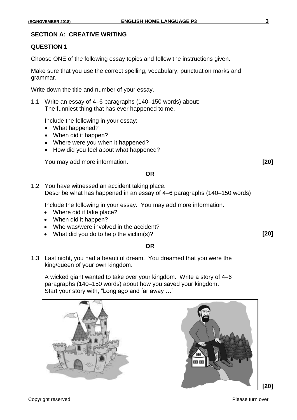#### **SECTION A: CREATIVE WRITING**

#### **QUESTION 1**

Choose ONE of the following essay topics and follow the instructions given.

Make sure that you use the correct spelling, vocabulary, punctuation marks and grammar.

Write down the title and number of your essay.

1.1 Write an essay of 4–6 paragraphs (140–150 words) about: The funniest thing that has ever happened to me.

Include the following in your essay:

- What happened?
- When did it happen?
- Where were you when it happened?
- How did you feel about what happened?

You may add more information. **[20]**

#### **OR**

1.2 You have witnessed an accident taking place. Describe what has happened in an essay of 4–6 paragraphs (140–150 words)

Include the following in your essay. You may add more information.

- Where did it take place?
- When did it happen?
- Who was/were involved in the accident?
- What did you do to help the victim(s)? **[20]**

#### **OR**

1.3 Last night, you had a beautiful dream. You dreamed that you were the king/queen of your own kingdom.

A wicked giant wanted to take over your kingdom. Write a story of 4–6 paragraphs (140–150 words) about how you saved your kingdom. Start your story with, "Long ago and far away …"



Copyright reserved **Please turn over the Copyright reserved** Please turn over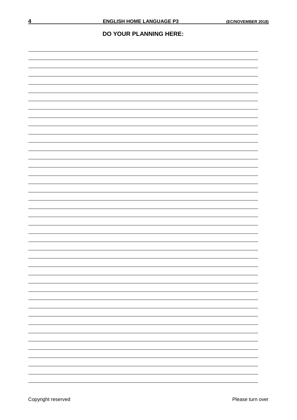#### **DO YOUR PLANNING HERE:**

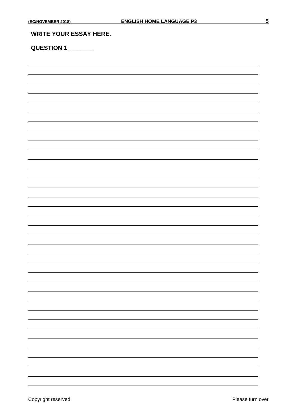#### **WRITE YOUR ESSAY HERE.**

## **QUESTION 1**. \_\_\_\_\_\_\_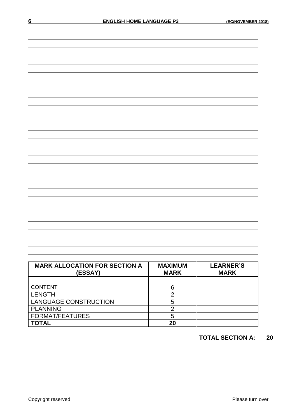| <b>MARK ALLOCATION FOR SECTION A</b><br>(ESSAY) | <b>MAXIMUM</b><br><b>MARK</b> | <b>LEARNER'S</b><br><b>MARK</b> |
|-------------------------------------------------|-------------------------------|---------------------------------|
|                                                 |                               |                                 |
| <b>CONTENT</b>                                  | 6                             |                                 |
| <b>LENGTH</b>                                   |                               |                                 |
| <b>LANGUAGE CONSTRUCTION</b>                    | 5                             |                                 |
| <b>PLANNING</b>                                 |                               |                                 |
| <b>FORMAT/FEATURES</b>                          | 5                             |                                 |
| OTAL                                            | 20                            |                                 |

### **TOTAL SECTION A: 20**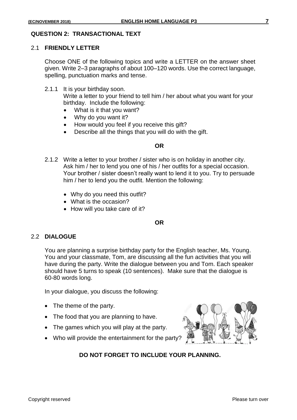#### 2.1 **FRIENDLY LETTER**

Choose ONE of the following topics and write a LETTER on the answer sheet given. Write 2–3 paragraphs of about 100–120 words. Use the correct language, spelling, punctuation marks and tense.

2.1.1 It is your birthday soon.

Write a letter to your friend to tell him / her about what you want for your birthday. Include the following:

- What is it that you want?
- Why do you want it?
- How would you feel if you receive this gift?
- Describe all the things that you will do with the gift.

#### **OR**

- 2.1.2 Write a letter to your brother / sister who is on holiday in another city. Ask him / her to lend you one of his / her outfits for a special occasion. Your brother / sister doesn't really want to lend it to you. Try to persuade him / her to lend you the outfit. Mention the following:
	- Why do you need this outfit?
	- What is the occasion?
	- How will you take care of it?

#### **OR**

#### 2.2 **DIALOGUE**

You are planning a surprise birthday party for the English teacher, Ms. Young. You and your classmate, Tom, are discussing all the fun activities that you will have during the party. Write the dialogue between you and Tom. Each speaker should have 5 turns to speak (10 sentences). Make sure that the dialogue is 60-80 words long.

In your dialogue, you discuss the following:

- The theme of the party.
- The food that you are planning to have.
- The games which you will play at the party.
- Who will provide the entertainment for the party?



### **DO NOT FORGET TO INCLUDE YOUR PLANNING.**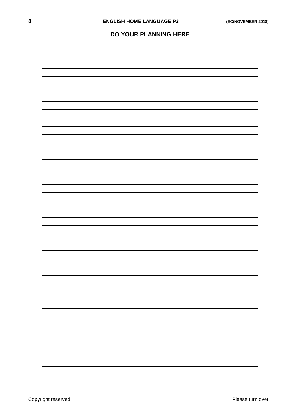#### **DO YOUR PLANNING HERE**

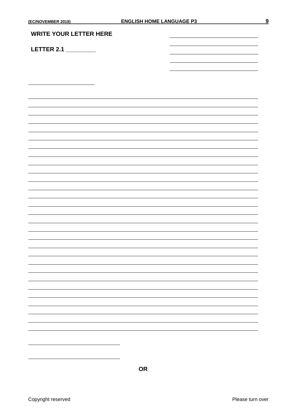## **LETTER 2.1 \_\_\_\_\_\_\_\_\_**

**OR**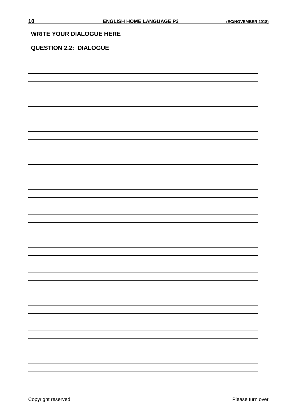#### **WRITE YOUR DIALOGUE HERE**

### **QUESTION 2.2: DIALOGUE**